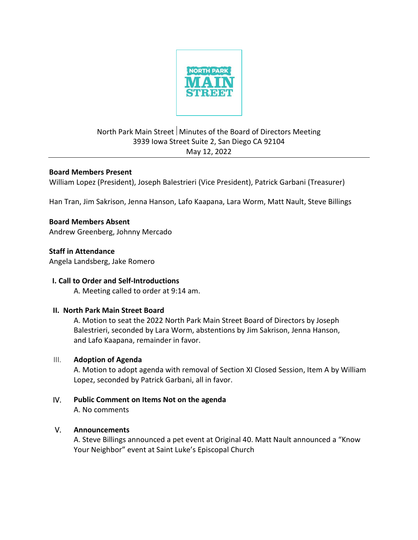

## North Park Main Street Minutes of the Board of Directors Meeting 3939 Iowa Street Suite 2, San Diego CA 92104 May 12, 2022

#### **Board Members Present**

William Lopez (President), Joseph Balestrieri (Vice President), Patrick Garbani (Treasurer)

Han Tran, Jim Sakrison, Jenna Hanson, Lafo Kaapana, Lara Worm, Matt Nault, Steve Billings

# **Board Members Absent**

Andrew Greenberg, Johnny Mercado

# **Staff in Attendance**

Angela Landsberg, Jake Romero

## **I. Call to Order and Self-Introductions**

A. Meeting called to order at 9:14 am.

#### **II. North Park Main Street Board**

 A. Motion to seat the 2022 North Park Main Street Board of Directors by Joseph Balestrieri, seconded by Lara Worm, abstentions by Jim Sakrison, Jenna Hanson, and Lafo Kaapana, remainder in favor.

## III. **Adoption of Agenda**

A. Motion to adopt agenda with removal of Section XI Closed Session, Item A by William Lopez, seconded by Patrick Garbani, all in favor.

# IV. **Public Comment on Items Not on the agenda**

A. No comments

## V. **Announcements**

A. Steve Billings announced a pet event at Original 40. Matt Nault announced a "Know Your Neighbor" event at Saint Luke's Episcopal Church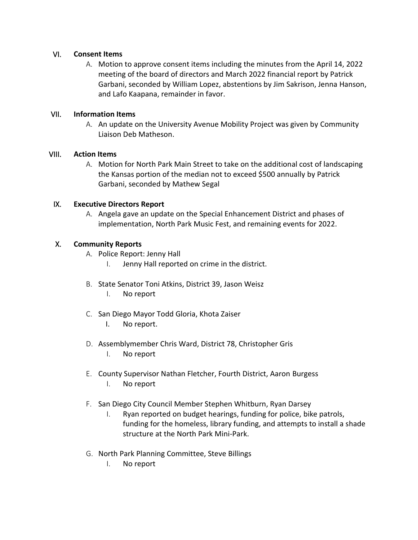#### VI. **Consent Items**

A. Motion to approve consent items including the minutes from the April 14, 2022 meeting of the board of directors and March 2022 financial report by Patrick Garbani, seconded by William Lopez, abstentions by Jim Sakrison, Jenna Hanson, and Lafo Kaapana, remainder in favor.

#### VII. **Information Items**

A. An update on the University Avenue Mobility Project was given by Community Liaison Deb Matheson.

#### VIII. **Action Items**

A. Motion for North Park Main Street to take on the additional cost of landscaping the Kansas portion of the median not to exceed \$500 annually by Patrick Garbani, seconded by Mathew Segal

#### IX. **Executive Directors Report**

A. Angela gave an update on the Special Enhancement District and phases of implementation, North Park Music Fest, and remaining events for 2022.

#### X. **Community Reports**

- A. Police Report: Jenny Hall
	- I. Jenny Hall reported on crime in the district.
- B. State Senator Toni Atkins, District 39, Jason Weisz
	- I. No report
- C. San Diego Mayor Todd Gloria, Khota Zaiser
	- I. No report.
- D. Assemblymember Chris Ward, District 78, Christopher Gris
	- I. No report
- E. County Supervisor Nathan Fletcher, Fourth District, Aaron Burgess I. No report
- F. San Diego City Council Member Stephen Whitburn, Ryan Darsey
	- I. Ryan reported on budget hearings, funding for police, bike patrols, funding for the homeless, library funding, and attempts to install a shade structure at the North Park Mini-Park.
- G. North Park Planning Committee, Steve Billings
	- I. No report